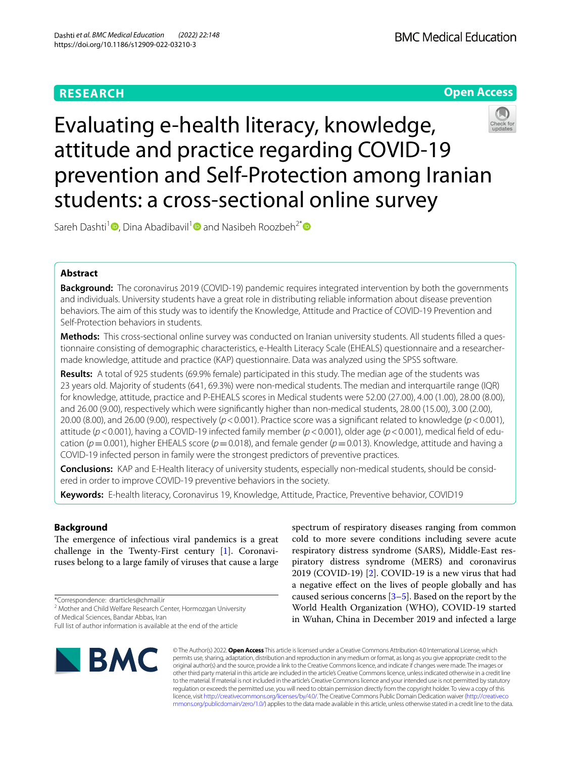

# Evaluating e-health literacy, knowledge, attitude and practice regarding COVID-19 prevention and Self-Protection among Iranian students: a cross-sectional online survey

Sareh Dashti<sup>1</sup> [,](https://orcid.org/0000-0003-2145-4290) Dina Abadibavil<sup>[1](https://orcid.org/0000-0003-3895-438X)</sup> and Nasibeh Roozbeh<sup>2[\\*](http://orcid.org/0000-0002-8492-0087)</sup> and

# **Abstract**

**Background:** The coronavirus 2019 (COVID-19) pandemic requires integrated intervention by both the governments and individuals. University students have a great role in distributing reliable information about disease prevention behaviors. The aim of this study was to identify the Knowledge, Attitude and Practice of COVID-19 Prevention and Self-Protection behaviors in students.

**Methods:** This cross-sectional online survey was conducted on Iranian university students. All students flled a questionnaire consisting of demographic characteristics, e-Health Literacy Scale (EHEALS) questionnaire and a researchermade knowledge, attitude and practice (KAP) questionnaire. Data was analyzed using the SPSS software.

**Results:** A total of 925 students (69.9% female) participated in this study. The median age of the students was 23 years old. Majority of students (641, 69.3%) were non-medical students. The median and interquartile range (IQR) for knowledge, attitude, practice and P-EHEALS scores in Medical students were 52.00 (27.00), 4.00 (1.00), 28.00 (8.00), and 26.00 (9.00), respectively which were signifcantly higher than non-medical students, 28.00 (15.00), 3.00 (2.00), 20.00 (8.00), and 26.00 (9.00), respectively (*p*<0.001). Practice score was a signifcant related to knowledge (*p*<0.001), attitude (*p*<0.001), having a COVID-19 infected family member (*p*<0.001), older age (*p*<0.001), medical feld of education (*p*=0.001), higher EHEALS score (*p*=0.018), and female gender (*p*=0.013). Knowledge, attitude and having a COVID-19 infected person in family were the strongest predictors of preventive practices.

**Conclusions:** KAP and E-Health literacy of university students, especially non-medical students, should be considered in order to improve COVID-19 preventive behaviors in the society.

**Keywords:** E-health literacy, Coronavirus 19, Knowledge, Attitude, Practice, Preventive behavior, COVID19

# **Background**

The emergence of infectious viral pandemics is a great challenge in the Twenty-First century [[1\]](#page-8-0). Coronaviruses belong to a large family of viruses that cause a large

\*Correspondence: drarticles@chmail.ir

<sup>2</sup> Mother and Child Welfare Research Center, Hormozgan University of Medical Sciences, Bandar Abbas, Iran

Full list of author information is available at the end of the article



spectrum of respiratory diseases ranging from common cold to more severe conditions including severe acute respiratory distress syndrome (SARS), Middle-East respiratory distress syndrome (MERS) and coronavirus 2019 (COVID-19) [[2\]](#page-8-1). COVID-19 is a new virus that had a negative efect on the lives of people globally and has caused serious concerns [\[3](#page-8-2)[–5\]](#page-8-3). Based on the report by the World Health Organization (WHO), COVID-19 started in Wuhan, China in December 2019 and infected a large

© The Author(s) 2022. **Open Access** This article is licensed under a Creative Commons Attribution 4.0 International License, which permits use, sharing, adaptation, distribution and reproduction in any medium or format, as long as you give appropriate credit to the original author(s) and the source, provide a link to the Creative Commons licence, and indicate if changes were made. The images or other third party material in this article are included in the article's Creative Commons licence, unless indicated otherwise in a credit line to the material. If material is not included in the article's Creative Commons licence and your intended use is not permitted by statutory regulation or exceeds the permitted use, you will need to obtain permission directly from the copyright holder. To view a copy of this licence, visit [http://creativecommons.org/licenses/by/4.0/.](http://creativecommons.org/licenses/by/4.0/) The Creative Commons Public Domain Dedication waiver ([http://creativeco](http://creativecommons.org/publicdomain/zero/1.0/) [mmons.org/publicdomain/zero/1.0/](http://creativecommons.org/publicdomain/zero/1.0/)) applies to the data made available in this article, unless otherwise stated in a credit line to the data.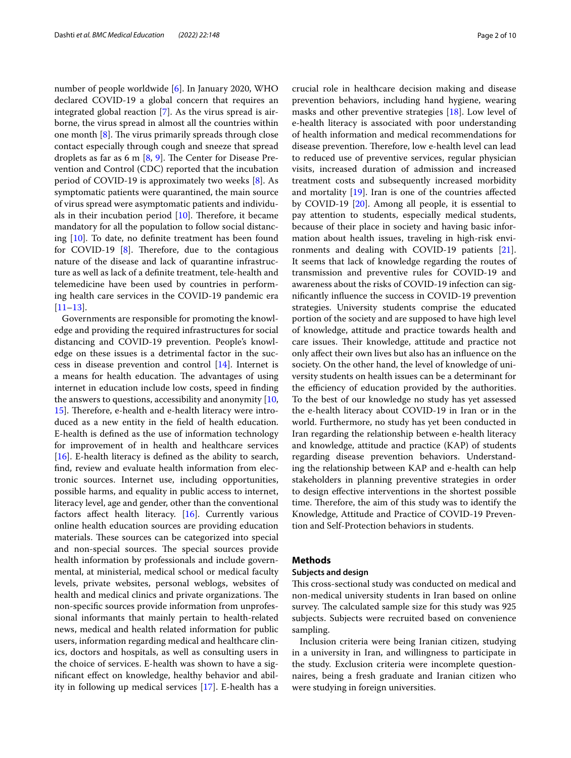number of people worldwide [[6\]](#page-8-4). In January 2020, WHO declared COVID-19 a global concern that requires an integrated global reaction [\[7](#page-8-5)]. As the virus spread is airborne, the virus spread in almost all the countries within one month  $[8]$  $[8]$ . The virus primarily spreads through close contact especially through cough and sneeze that spread droplets as far as 6 m  $[8, 9]$  $[8, 9]$  $[8, 9]$  $[8, 9]$ . The Center for Disease Prevention and Control (CDC) reported that the incubation period of COVID-19 is approximately two weeks [\[8](#page-8-6)]. As symptomatic patients were quarantined, the main source of virus spread were asymptomatic patients and individuals in their incubation period  $[10]$  $[10]$ . Therefore, it became mandatory for all the population to follow social distancing [\[10](#page-8-8)]. To date, no defnite treatment has been found for COVID-19  $[8]$  $[8]$  $[8]$ . Therefore, due to the contagious nature of the disease and lack of quarantine infrastructure as well as lack of a defnite treatment, tele-health and telemedicine have been used by countries in performing health care services in the COVID-19 pandemic era [[11–](#page-8-9)[13](#page-8-10)].

Governments are responsible for promoting the knowledge and providing the required infrastructures for social distancing and COVID-19 prevention. People's knowledge on these issues is a detrimental factor in the success in disease prevention and control [\[14](#page-8-11)]. Internet is a means for health education. The advantages of using internet in education include low costs, speed in fnding the answers to questions, accessibility and anonymity [\[10](#page-8-8), [15\]](#page-8-12). Therefore, e-health and e-health literacy were introduced as a new entity in the feld of health education. E-health is defned as the use of information technology for improvement of in health and healthcare services [[16\]](#page-8-13). E-health literacy is defined as the ability to search, fnd, review and evaluate health information from electronic sources. Internet use, including opportunities, possible harms, and equality in public access to internet, literacy level, age and gender, other than the conventional factors affect health literacy.  $[16]$ . Currently various online health education sources are providing education materials. These sources can be categorized into special and non-special sources. The special sources provide health information by professionals and include governmental, at ministerial, medical school or medical faculty levels, private websites, personal weblogs, websites of health and medical clinics and private organizations. The non-specifc sources provide information from unprofessional informants that mainly pertain to health-related news, medical and health related information for public users, information regarding medical and healthcare clinics, doctors and hospitals, as well as consulting users in the choice of services. E-health was shown to have a signifcant efect on knowledge, healthy behavior and ability in following up medical services [\[17\]](#page-8-14). E-health has a crucial role in healthcare decision making and disease prevention behaviors, including hand hygiene, wearing masks and other preventive strategies [[18\]](#page-8-15). Low level of e-health literacy is associated with poor understanding of health information and medical recommendations for disease prevention. Therefore, low e-health level can lead to reduced use of preventive services, regular physician visits, increased duration of admission and increased treatment costs and subsequently increased morbidity and mortality [\[19](#page-8-16)]. Iran is one of the countries afected by COVID-19 [[20\]](#page-8-17). Among all people, it is essential to pay attention to students, especially medical students, because of their place in society and having basic information about health issues, traveling in high-risk environments and dealing with COVID-19 patients [\[21](#page-8-18)]. It seems that lack of knowledge regarding the routes of transmission and preventive rules for COVID-19 and awareness about the risks of COVID-19 infection can signifcantly infuence the success in COVID-19 prevention strategies. University students comprise the educated portion of the society and are supposed to have high level of knowledge, attitude and practice towards health and care issues. Their knowledge, attitude and practice not only afect their own lives but also has an infuence on the society. On the other hand, the level of knowledge of university students on health issues can be a determinant for the efficiency of education provided by the authorities. To the best of our knowledge no study has yet assessed the e-health literacy about COVID-19 in Iran or in the world. Furthermore, no study has yet been conducted in Iran regarding the relationship between e-health literacy and knowledge, attitude and practice (KAP) of students regarding disease prevention behaviors. Understanding the relationship between KAP and e-health can help stakeholders in planning preventive strategies in order to design efective interventions in the shortest possible time. Therefore, the aim of this study was to identify the Knowledge, Attitude and Practice of COVID-19 Prevention and Self-Protection behaviors in students.

# **Methods**

## **Subjects and design**

This cross-sectional study was conducted on medical and non-medical university students in Iran based on online survey. The calculated sample size for this study was 925 subjects. Subjects were recruited based on convenience sampling.

Inclusion criteria were being Iranian citizen, studying in a university in Iran, and willingness to participate in the study. Exclusion criteria were incomplete questionnaires, being a fresh graduate and Iranian citizen who were studying in foreign universities.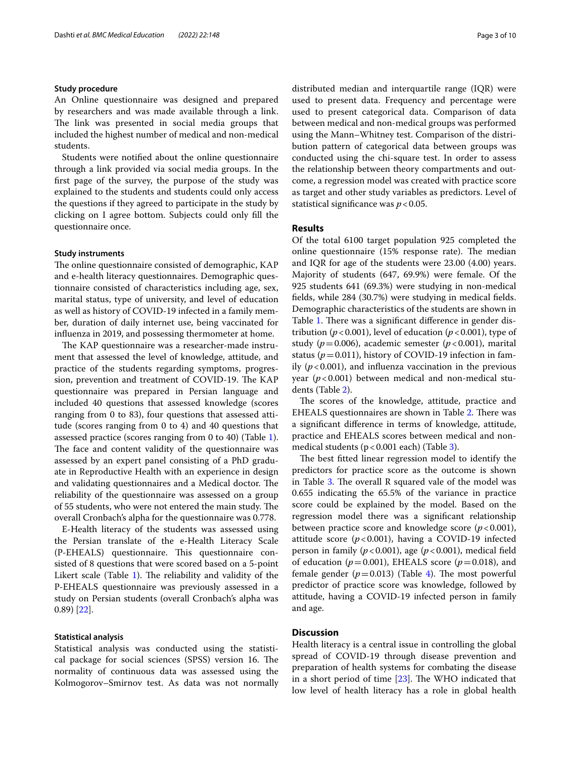# **Study procedure**

An Online questionnaire was designed and prepared by researchers and was made available through a link. The link was presented in social media groups that included the highest number of medical and non-medical students.

Students were notifed about the online questionnaire through a link provided via social media groups. In the frst page of the survey, the purpose of the study was explained to the students and students could only access the questions if they agreed to participate in the study by clicking on I agree bottom. Subjects could only fll the questionnaire once.

## **Study instruments**

The online questionnaire consisted of demographic, KAP and e-health literacy questionnaires. Demographic questionnaire consisted of characteristics including age, sex, marital status, type of university, and level of education as well as history of COVID-19 infected in a family member, duration of daily internet use, being vaccinated for infuenza in 2019, and possessing thermometer at home.

The KAP questionnaire was a researcher-made instrument that assessed the level of knowledge, attitude, and practice of the students regarding symptoms, progression, prevention and treatment of COVID-19. The KAP questionnaire was prepared in Persian language and included 40 questions that assessed knowledge (scores ranging from 0 to 83), four questions that assessed attitude (scores ranging from 0 to 4) and 40 questions that assessed practice (scores ranging from 0 to 40) (Table [1](#page-3-0)). The face and content validity of the questionnaire was assessed by an expert panel consisting of a PhD graduate in Reproductive Health with an experience in design and validating questionnaires and a Medical doctor. The reliability of the questionnaire was assessed on a group of 55 students, who were not entered the main study. The overall Cronbach's alpha for the questionnaire was 0.778.

E-Health literacy of the students was assessed using the Persian translate of the e-Health Literacy Scale (P-EHEALS) questionnaire. This questionnaire consisted of 8 questions that were scored based on a 5-point Likert scale (Table  $1$ ). The reliability and validity of the P-EHEALS questionnaire was previously assessed in a study on Persian students (overall Cronbach's alpha was 0.89) [\[22](#page-8-19)].

## **Statistical analysis**

Statistical analysis was conducted using the statistical package for social sciences (SPSS) version 16. The normality of continuous data was assessed using the Kolmogorov–Smirnov test. As data was not normally distributed median and interquartile range (IQR) were used to present data. Frequency and percentage were used to present categorical data. Comparison of data between medical and non-medical groups was performed using the Mann–Whitney test. Comparison of the distribution pattern of categorical data between groups was conducted using the chi-square test. In order to assess the relationship between theory compartments and outcome, a regression model was created with practice score as target and other study variables as predictors. Level of statistical significance was  $p < 0.05$ .

# **Results**

Of the total 6100 target population 925 completed the online questionnaire  $(15\%$  response rate). The median and IQR for age of the students were 23.00 (4.00) years. Majority of students (647, 69.9%) were female. Of the 925 students 641 (69.3%) were studying in non-medical felds, while 284 (30.7%) were studying in medical felds. Demographic characteristics of the students are shown in Table [1.](#page-3-0) There was a significant difference in gender distribution ( $p < 0.001$ ), level of education ( $p < 0.001$ ), type of study ( $p = 0.006$ ), academic semester ( $p < 0.001$ ), marital status ( $p = 0.011$ ), history of COVID-19 infection in family  $(p < 0.001)$ , and influenza vaccination in the previous year (*p*<0.001) between medical and non-medical students (Table [2](#page-6-0)).

The scores of the knowledge, attitude, practice and EHEALS questionnaires are shown in Table [2](#page-6-0). There was a signifcant diference in terms of knowledge, attitude, practice and EHEALS scores between medical and nonmedical students  $(p < 0.001$  each) (Table [3\)](#page-6-1).

The best fitted linear regression model to identify the predictors for practice score as the outcome is shown in Table [3.](#page-6-1) The overall R squared vale of the model was 0.655 indicating the 65.5% of the variance in practice score could be explained by the model. Based on the regression model there was a signifcant relationship between practice score and knowledge score (*p*<0.001), attitude score  $(p<0.001)$ , having a COVID-19 infected person in family (*p*<0.001), age (*p*<0.001), medical feld of education ( $p=0.001$ ), EHEALS score ( $p=0.018$ ), and female gender  $(p=0.013)$  (Table [4](#page-6-2)). The most powerful predictor of practice score was knowledge, followed by attitude, having a COVID-19 infected person in family and age.

# **Discussion**

Health literacy is a central issue in controlling the global spread of COVID-19 through disease prevention and preparation of health systems for combating the disease in a short period of time  $[23]$  $[23]$ . The WHO indicated that low level of health literacy has a role in global health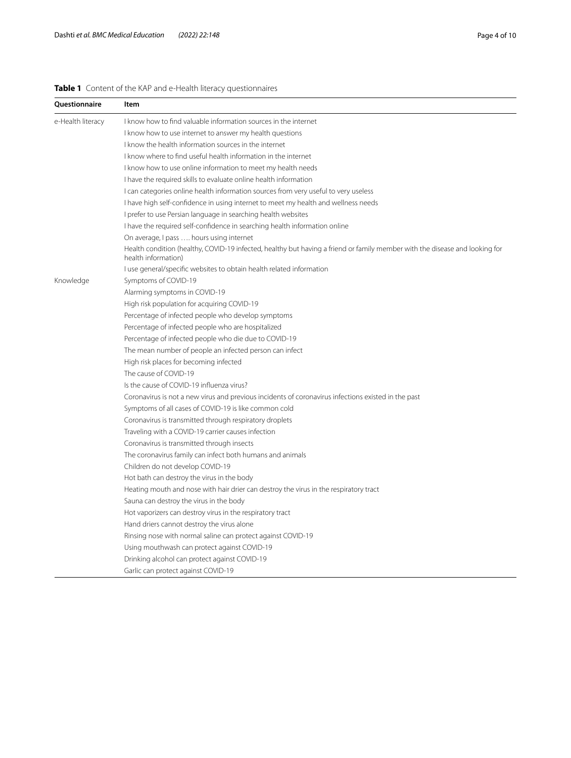# <span id="page-3-0"></span>**Table 1** Content of the KAP and e-Health literacy questionnaires

| Ouestionnaire     | Item                                                                                                                                               |
|-------------------|----------------------------------------------------------------------------------------------------------------------------------------------------|
| e-Health literacy | I know how to find valuable information sources in the internet                                                                                    |
|                   | I know how to use internet to answer my health questions                                                                                           |
|                   | I know the health information sources in the internet                                                                                              |
|                   | I know where to find useful health information in the internet                                                                                     |
|                   | I know how to use online information to meet my health needs                                                                                       |
|                   | I have the required skills to evaluate online health information                                                                                   |
|                   | I can categories online health information sources from very useful to very useless                                                                |
|                   | I have high self-confidence in using internet to meet my health and wellness needs                                                                 |
|                   | I prefer to use Persian language in searching health websites                                                                                      |
|                   | I have the required self-confidence in searching health information online                                                                         |
|                   | On average, I pass  hours using internet                                                                                                           |
|                   | Health condition (healthy, COVID-19 infected, healthy but having a friend or family member with the disease and looking for<br>health information) |
|                   | I use general/specific websites to obtain health related information                                                                               |
| Knowledge         | Symptoms of COVID-19                                                                                                                               |
|                   | Alarming symptoms in COVID-19                                                                                                                      |
|                   | High risk population for acquiring COVID-19                                                                                                        |
|                   | Percentage of infected people who develop symptoms                                                                                                 |
|                   | Percentage of infected people who are hospitalized                                                                                                 |
|                   | Percentage of infected people who die due to COVID-19                                                                                              |
|                   | The mean number of people an infected person can infect                                                                                            |
|                   | High risk places for becoming infected                                                                                                             |
|                   | The cause of COVID-19                                                                                                                              |
|                   | Is the cause of COVID-19 influenza virus?                                                                                                          |
|                   | Coronavirus is not a new virus and previous incidents of coronavirus infections existed in the past                                                |
|                   | Symptoms of all cases of COVID-19 is like common cold                                                                                              |
|                   | Coronavirus is transmitted through respiratory droplets                                                                                            |
|                   | Traveling with a COVID-19 carrier causes infection                                                                                                 |
|                   | Coronavirus is transmitted through insects                                                                                                         |
|                   | The coronavirus family can infect both humans and animals                                                                                          |
|                   | Children do not develop COVID-19                                                                                                                   |
|                   | Hot bath can destroy the virus in the body                                                                                                         |
|                   | Heating mouth and nose with hair drier can destroy the virus in the respiratory tract                                                              |
|                   | Sauna can destroy the virus in the body                                                                                                            |
|                   | Hot vaporizers can destroy virus in the respiratory tract                                                                                          |
|                   | Hand driers cannot destroy the virus alone                                                                                                         |
|                   | Rinsing nose with normal saline can protect against COVID-19                                                                                       |
|                   | Using mouthwash can protect against COVID-19                                                                                                       |
|                   | Drinking alcohol can protect against COVID-19                                                                                                      |
|                   | Garlic can protect against COVID-19                                                                                                                |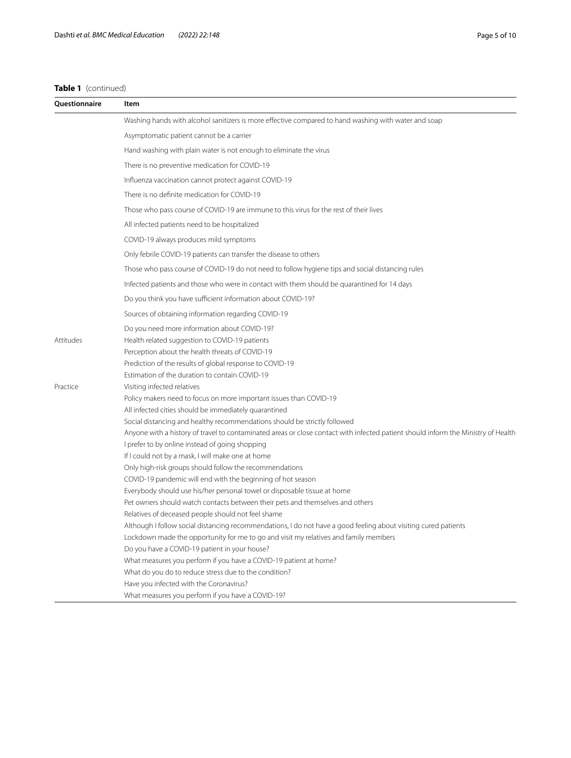# **Table 1** (continued)

| Questionnaire | Item                                                                                                                                                                                                          |
|---------------|---------------------------------------------------------------------------------------------------------------------------------------------------------------------------------------------------------------|
|               | Washing hands with alcohol sanitizers is more effective compared to hand washing with water and soap                                                                                                          |
|               | Asymptomatic patient cannot be a carrier                                                                                                                                                                      |
|               | Hand washing with plain water is not enough to eliminate the virus                                                                                                                                            |
|               | There is no preventive medication for COVID-19                                                                                                                                                                |
|               | Influenza vaccination cannot protect against COVID-19                                                                                                                                                         |
|               | There is no definite medication for COVID-19                                                                                                                                                                  |
|               | Those who pass course of COVID-19 are immune to this virus for the rest of their lives                                                                                                                        |
|               | All infected patients need to be hospitalized                                                                                                                                                                 |
|               |                                                                                                                                                                                                               |
|               | COVID-19 always produces mild symptoms                                                                                                                                                                        |
|               | Only febrile COVID-19 patients can transfer the disease to others                                                                                                                                             |
|               | Those who pass course of COVID-19 do not need to follow hygiene tips and social distancing rules                                                                                                              |
|               | Infected patients and those who were in contact with them should be quarantined for 14 days                                                                                                                   |
|               | Do you think you have sufficient information about COVID-19?                                                                                                                                                  |
|               | Sources of obtaining information regarding COVID-19                                                                                                                                                           |
| Attitudes     | Do you need more information about COVID-19?<br>Health related suggestion to COVID-19 patients<br>Perception about the health threats of COVID-19<br>Prediction of the results of global response to COVID-19 |
|               | Estimation of the duration to contain COVID-19                                                                                                                                                                |
| Practice      | Visiting infected relatives                                                                                                                                                                                   |
|               | Policy makers need to focus on more important issues than COVID-19                                                                                                                                            |
|               | All infected cities should be immediately quarantined                                                                                                                                                         |
|               | Social distancing and healthy recommendations should be strictly followed                                                                                                                                     |
|               | Anyone with a history of travel to contaminated areas or close contact with infected patient should inform the Ministry of Health<br>I prefer to by online instead of going shopping                          |
|               | If I could not by a mask, I will make one at home                                                                                                                                                             |
|               | Only high-risk groups should follow the recommendations                                                                                                                                                       |
|               | COVID-19 pandemic will end with the beginning of hot season                                                                                                                                                   |
|               | Everybody should use his/her personal towel or disposable tissue at home                                                                                                                                      |
|               | Pet owners should watch contacts between their pets and themselves and others                                                                                                                                 |
|               | Relatives of deceased people should not feel shame                                                                                                                                                            |
|               | Although I follow social distancing recommendations, I do not have a good feeling about visiting cured patients                                                                                               |
|               | Lockdown made the opportunity for me to go and visit my relatives and family members                                                                                                                          |
|               | Do you have a COVID-19 patient in your house?                                                                                                                                                                 |
|               | What measures you perform if you have a COVID-19 patient at home?                                                                                                                                             |
|               | What do you do to reduce stress due to the condition?                                                                                                                                                         |
|               | Have you infected with the Coronavirus?                                                                                                                                                                       |
|               | What measures you perform if you have a COVID-19?                                                                                                                                                             |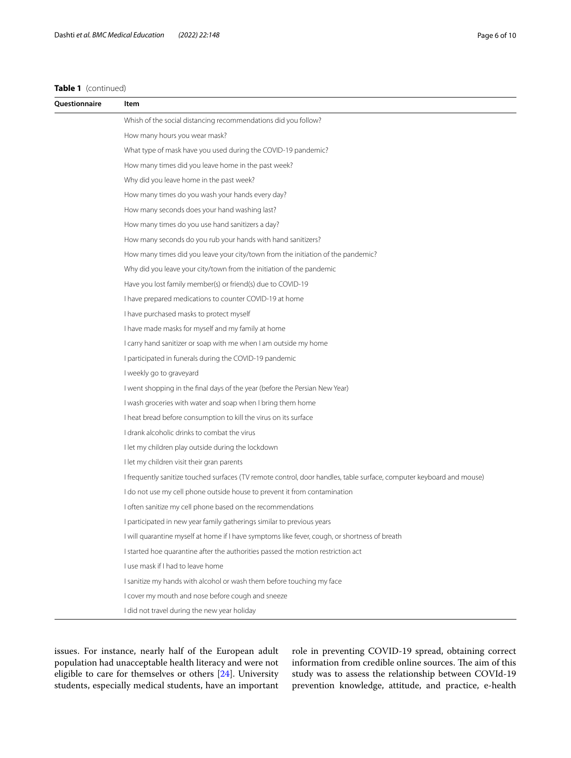# **Table 1** (continued)

| Ouestionnaire | Item                                                                                                                 |
|---------------|----------------------------------------------------------------------------------------------------------------------|
|               | Whish of the social distancing recommendations did you follow?                                                       |
|               | How many hours you wear mask?                                                                                        |
|               | What type of mask have you used during the COVID-19 pandemic?                                                        |
|               | How many times did you leave home in the past week?                                                                  |
|               | Why did you leave home in the past week?                                                                             |
|               | How many times do you wash your hands every day?                                                                     |
|               | How many seconds does your hand washing last?                                                                        |
|               | How many times do you use hand sanitizers a day?                                                                     |
|               | How many seconds do you rub your hands with hand sanitizers?                                                         |
|               | How many times did you leave your city/town from the initiation of the pandemic?                                     |
|               | Why did you leave your city/town from the initiation of the pandemic                                                 |
|               | Have you lost family member(s) or friend(s) due to COVID-19                                                          |
|               | I have prepared medications to counter COVID-19 at home                                                              |
|               | I have purchased masks to protect myself                                                                             |
|               | I have made masks for myself and my family at home                                                                   |
|               | I carry hand sanitizer or soap with me when I am outside my home                                                     |
|               | I participated in funerals during the COVID-19 pandemic                                                              |
|               | I weekly go to graveyard                                                                                             |
|               | I went shopping in the final days of the year (before the Persian New Year)                                          |
|               | I wash groceries with water and soap when I bring them home                                                          |
|               | I heat bread before consumption to kill the virus on its surface                                                     |
|               | I drank alcoholic drinks to combat the virus                                                                         |
|               | I let my children play outside during the lockdown                                                                   |
|               | I let my children visit their gran parents                                                                           |
|               | I frequently sanitize touched surfaces (TV remote control, door handles, table surface, computer keyboard and mouse) |
|               | I do not use my cell phone outside house to prevent it from contamination                                            |
|               | I often sanitize my cell phone based on the recommendations                                                          |
|               | I participated in new year family gatherings similar to previous years                                               |
|               | I will quarantine myself at home if I have symptoms like fever, cough, or shortness of breath                        |
|               | I started hoe quarantine after the authorities passed the motion restriction act                                     |
|               | I use mask if I had to leave home                                                                                    |
|               | I sanitize my hands with alcohol or wash them before touching my face                                                |
|               | I cover my mouth and nose before cough and sneeze                                                                    |
|               | I did not travel during the new year holiday                                                                         |

issues. For instance, nearly half of the European adult population had unacceptable health literacy and were not eligible to care for themselves or others [[24\]](#page-8-21). University students, especially medical students, have an important role in preventing COVID-19 spread, obtaining correct information from credible online sources. The aim of this study was to assess the relationship between COVId-19 prevention knowledge, attitude, and practice, e-health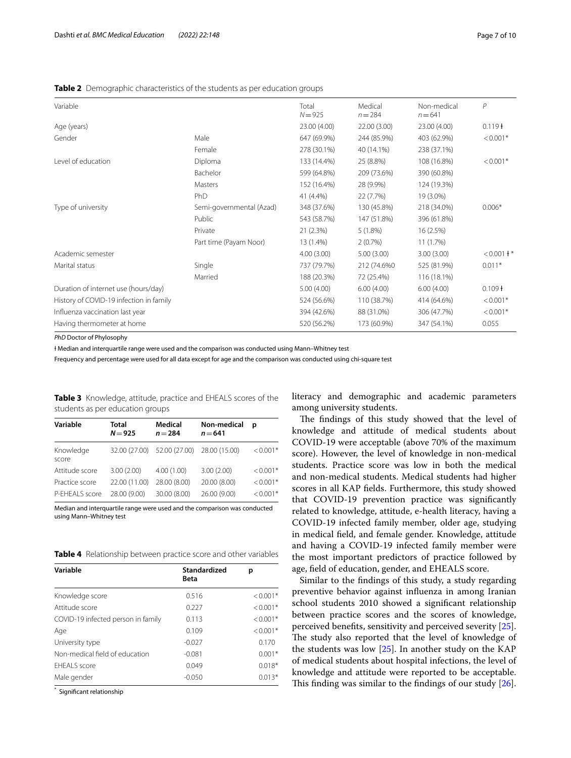# <span id="page-6-0"></span>**Table 2** Demographic characteristics of the students as per education groups

| Variable                                |                          | Total<br>$N = 925$ | Medical<br>$n = 284$ | Non-medical<br>$n = 641$ | $\overline{P}$ |
|-----------------------------------------|--------------------------|--------------------|----------------------|--------------------------|----------------|
| Age (years)                             |                          | 23.00 (4.00)       | 22.00 (3.00)         | 23.00 (4.00)             | $0.119 +$      |
| Gender                                  | Male                     | 647 (69.9%)        | 244 (85.9%)          | 403 (62.9%)              | $< 0.001*$     |
|                                         | Female                   | 278 (30.1%)        | 40 (14.1%)           | 238 (37.1%)              |                |
| Level of education                      | Diploma                  | 133 (14.4%)        | 25 (8.8%)            | 108 (16.8%)              | $< 0.001*$     |
|                                         | Bachelor                 | 599 (64.8%)        | 209 (73.6%)          | 390 (60.8%)              |                |
|                                         | Masters                  | 152 (16.4%)        | 28 (9.9%)            | 124 (19.3%)              |                |
|                                         | PhD                      | 41 (4.4%)          | 22 (7.7%)            | 19 (3.0%)                |                |
| Type of university                      | Semi-governmental (Azad) | 348 (37.6%)        | 130 (45.8%)          | 218 (34.0%)              | $0.006*$       |
|                                         | Public                   | 543 (58.7%)        | 147 (51.8%)          | 396 (61.8%)              |                |
|                                         | Private                  | 21 (2.3%)          | 5(1.8%)              | 16 (2.5%)                |                |
|                                         | Part time (Payam Noor)   | 13 (1.4%)          | $2(0.7\%)$           | 11 (1.7%)                |                |
| Academic semester                       |                          | 4.00(3.00)         | 5.00(3.00)           | 3.00(3.00)               | $< 0.001 +$ *  |
| Marital status                          | Single                   | 737 (79.7%)        | 212 (74.6%0)         | 525 (81.9%)              | $0.011*$       |
|                                         | Married                  | 188 (20.3%)        | 72 (25.4%)           | 116 (18.1%)              |                |
| Duration of internet use (hours/day)    |                          | 5.00(4.00)         | 6.00(4.00)           | 6.00(4.00)               | $0.109 +$      |
| History of COVID-19 infection in family |                          | 524 (56.6%)        | 110 (38.7%)          | 414 (64.6%)              | $< 0.001*$     |
| Influenza vaccination last year         |                          | 394 (42.6%)        | 88 (31.0%)           | 306 (47.7%)              | $< 0.001*$     |
| Having thermometer at home              |                          | 520 (56.2%)        | 173 (60.9%)          | 347 (54.1%)              | 0.055          |
|                                         |                          |                    |                      |                          |                |

*PhD* Doctor of Phylosophy

Ɨ Median and interquartile range were used and the comparison was conducted using Mann–Whitney test

Frequency and percentage were used for all data except for age and the comparison was conducted using chi-square test

<span id="page-6-1"></span>**Table 3** Knowledge, attitude, practice and EHEALS scores of the students as per education groups

| Variable           | Total<br>$N = 925$ | <b>Medical</b><br>$n = 284$               | Non-medical<br>$n = 641$ | D          |
|--------------------|--------------------|-------------------------------------------|--------------------------|------------|
| Knowledge<br>score |                    | 32.00 (27.00) 52.00 (27.00) 28.00 (15.00) |                          | $< 0.001*$ |
| Attitude score     | 3.00(2.00)         | 4.00(1.00)                                | 3.00(2.00)               | $< 0.001*$ |
| Practice score     | 22.00 (11.00)      | 28.00 (8.00)                              | 20.00 (8.00)             | $< 0.001*$ |
| P-EHEALS score     | 28.00 (9.00)       | 30.00 (8.00)                              | 26.00 (9.00)             | $< 0.001*$ |

Median and interquartile range were used and the comparison was conducted using Mann–Whitney test

<span id="page-6-2"></span>**Table 4** Relationship between practice score and other variables

| Variable                           | <b>Standardized</b><br>Beta | р          |
|------------------------------------|-----------------------------|------------|
| Knowledge score                    | 0.516                       | $< 0.001*$ |
| Attitude score                     | 0.227                       | $< 0.001*$ |
| COVID-19 infected person in family | 0.113                       | $< 0.001*$ |
| Age                                | 0.109                       | $< 0.001*$ |
| University type                    | $-0.027$                    | 0.170      |
| Non-medical field of education     | $-0.081$                    | $0.001*$   |
| <b>FHFALS</b> score                | 0.049                       | $0.018*$   |
| Male gender                        | $-0.050$                    | $0.013*$   |

\* Signifcant relationship

literacy and demographic and academic parameters among university students.

The findings of this study showed that the level of knowledge and attitude of medical students about COVID-19 were acceptable (above 70% of the maximum score). However, the level of knowledge in non-medical students. Practice score was low in both the medical and non-medical students. Medical students had higher scores in all KAP felds. Furthermore, this study showed that COVID-19 prevention practice was signifcantly related to knowledge, attitude, e-health literacy, having a COVID-19 infected family member, older age, studying in medical feld, and female gender. Knowledge, attitude and having a COVID-19 infected family member were the most important predictors of practice followed by age, feld of education, gender, and EHEALS score.

Similar to the fndings of this study, a study regarding preventive behavior against infuenza in among Iranian school students 2010 showed a signifcant relationship between practice scores and the scores of knowledge, perceived benefts, sensitivity and perceived severity [\[25](#page-8-22)]. The study also reported that the level of knowledge of the students was low [\[25](#page-8-22)]. In another study on the KAP of medical students about hospital infections, the level of knowledge and attitude were reported to be acceptable. This finding was similar to the findings of our study  $[26]$  $[26]$ .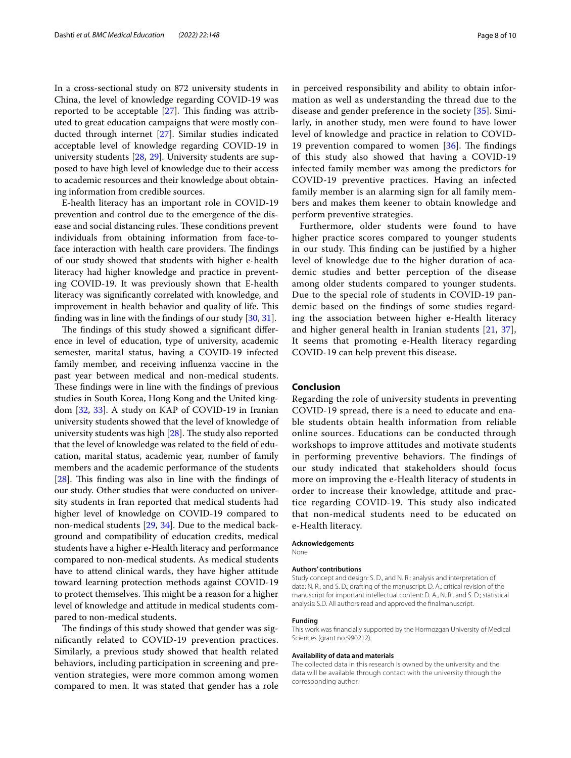In a cross-sectional study on 872 university students in China, the level of knowledge regarding COVID-19 was reported to be acceptable  $[27]$  $[27]$ . This finding was attributed to great education campaigns that were mostly conducted through internet [[27](#page-8-24)]. Similar studies indicated acceptable level of knowledge regarding COVID-19 in university students [[28,](#page-8-25) [29\]](#page-8-26). University students are supposed to have high level of knowledge due to their access to academic resources and their knowledge about obtaining information from credible sources.

E-health literacy has an important role in COVID-19 prevention and control due to the emergence of the disease and social distancing rules. These conditions prevent individuals from obtaining information from face-toface interaction with health care providers. The findings of our study showed that students with higher e-health literacy had higher knowledge and practice in preventing COVID-19. It was previously shown that E-health literacy was signifcantly correlated with knowledge, and improvement in health behavior and quality of life. This fnding was in line with the fndings of our study [[30,](#page-8-27) [31](#page-8-28)].

The findings of this study showed a significant difference in level of education, type of university, academic semester, marital status, having a COVID-19 infected family member, and receiving infuenza vaccine in the past year between medical and non-medical students. These findings were in line with the findings of previous studies in South Korea, Hong Kong and the United kingdom [[32,](#page-8-29) [33](#page-8-30)]. A study on KAP of COVID-19 in Iranian university students showed that the level of knowledge of university students was high  $[28]$  $[28]$ . The study also reported that the level of knowledge was related to the feld of education, marital status, academic year, number of family members and the academic performance of the students  $[28]$  $[28]$ . This finding was also in line with the findings of our study. Other studies that were conducted on university students in Iran reported that medical students had higher level of knowledge on COVID-19 compared to non-medical students [\[29](#page-8-26), [34](#page-8-31)]. Due to the medical background and compatibility of education credits, medical students have a higher e-Health literacy and performance compared to non-medical students. As medical students have to attend clinical wards, they have higher attitude toward learning protection methods against COVID-19 to protect themselves. This might be a reason for a higher level of knowledge and attitude in medical students compared to non-medical students.

The findings of this study showed that gender was signifcantly related to COVID-19 prevention practices. Similarly, a previous study showed that health related behaviors, including participation in screening and prevention strategies, were more common among women compared to men. It was stated that gender has a role in perceived responsibility and ability to obtain information as well as understanding the thread due to the disease and gender preference in the society [\[35\]](#page-8-32). Similarly, in another study, men were found to have lower level of knowledge and practice in relation to COVID-19 prevention compared to women  $[36]$  $[36]$ . The findings of this study also showed that having a COVID-19 infected family member was among the predictors for COVID-19 preventive practices. Having an infected family member is an alarming sign for all family members and makes them keener to obtain knowledge and perform preventive strategies.

Furthermore, older students were found to have higher practice scores compared to younger students in our study. This finding can be justified by a higher level of knowledge due to the higher duration of academic studies and better perception of the disease among older students compared to younger students. Due to the special role of students in COVID-19 pandemic based on the fndings of some studies regarding the association between higher e-Health literacy and higher general health in Iranian students [[21](#page-8-18), [37](#page-9-1)], It seems that promoting e-Health literacy regarding COVID-19 can help prevent this disease.

## **Conclusion**

Regarding the role of university students in preventing COVID-19 spread, there is a need to educate and enable students obtain health information from reliable online sources. Educations can be conducted through workshops to improve attitudes and motivate students in performing preventive behaviors. The findings of our study indicated that stakeholders should focus more on improving the e-Health literacy of students in order to increase their knowledge, attitude and practice regarding COVID-19. This study also indicated that non-medical students need to be educated on e-Health literacy.

#### **Acknowledgements**

None

#### **Authors' contributions**

Study concept and design: S. D., and N. R.; analysis and interpretation of data: N. R., and S. D.; drafting of the manuscript: D. A.; critical revision of the manuscript for important intellectual content: D. A., N. R., and S. D.; statistical analysis: S.D. All authors read and approved the fnalmanuscript.

#### **Funding**

This work was fnancially supported by the Hormozgan University of Medical Sciences (grant no.:990212).

#### **Availability of data and materials**

The collected data in this research is owned by the university and the data will be available through contact with the university through the corresponding author.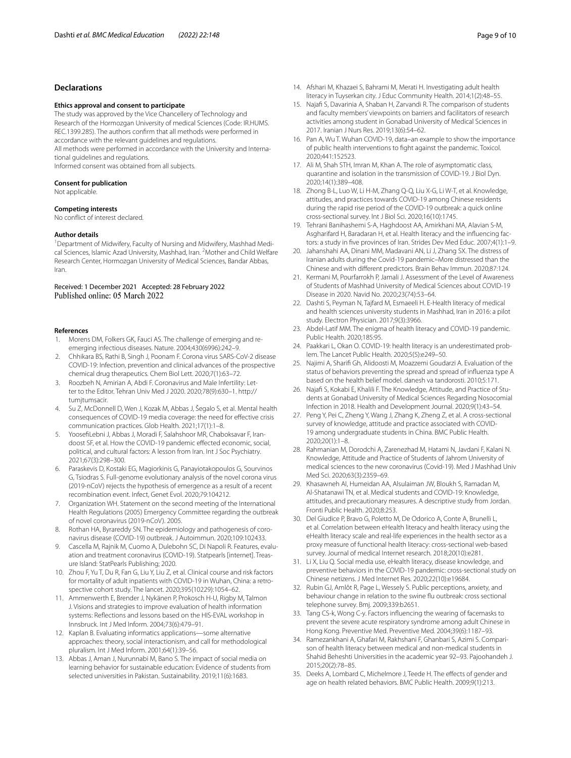# **Declarations**

#### **Ethics approval and consent to participate**

The study was approved by the Vice Chancellery of Technology and Research of the Hormozgan University of medical Sciences (Code: IR.HUMS. REC.1399.285). The authors confrm that all methods were performed in accordance with the relevant guidelines and regulations.

All methods were performed in accordance with the University and International guidelines and regulations.

Informed consent was obtained from all subjects.

#### **Consent for publication**

Not applicable.

#### **Competing interests**

No confict of interest declared.

## **Author details**

<sup>1</sup> Department of Midwifery, Faculty of Nursing and Midwifery, Mashhad Medical Sciences, Islamic Azad University, Mashhad, Iran. <sup>2</sup> Mother and Child Welfare Research Center, Hormozgan University of Medical Sciences, Bandar Abbas, Iran.

Received: 1 December 2021 Accepted: 28 February 2022 Published online: 05 March 2022

#### **References**

- <span id="page-8-0"></span>1. Morens DM, Folkers GK, Fauci AS. The challenge of emerging and reemerging infectious diseases. Nature. 2004;430(6996):242–9.
- <span id="page-8-1"></span>2. Chhikara BS, Rathi B, Singh J, Poonam F. Corona virus SARS-CoV-2 disease COVID-19: Infection, prevention and clinical advances of the prospective chemical drug therapeutics. Chem Biol Lett. 2020;7(1):63–72.
- <span id="page-8-2"></span>3. Roozbeh N, Amirian A, Abdi F. Coronavirus and Male Infertility: Letter to the Editor. Tehran Univ Med J 2020. 2020;78(9):630–1. http:// tumjtumsacir.
- 4. Su Z, McDonnell D, Wen J, Kozak M, Abbas J, Šegalo S, et al. Mental health consequences of COVID-19 media coverage: the need for efective crisis communication practices. Glob Health. 2021;17(1):1–8.
- <span id="page-8-3"></span>5. YoosefLebni J, Abbas J, Moradi F, Salahshoor MR, Chaboksavar F, Irandoost SF, et al. How the COVID-19 pandemic efected economic, social, political, and cultural factors: A lesson from Iran. Int J Soc Psychiatry. 2021;67(3):298–300.
- <span id="page-8-4"></span>6. Paraskevis D, Kostaki EG, Magiorkinis G, Panayiotakopoulos G, Sourvinos G, Tsiodras S. Full-genome evolutionary analysis of the novel corona virus (2019-nCoV) rejects the hypothesis of emergence as a result of a recent recombination event. Infect, Genet Evol. 2020;79:104212.
- <span id="page-8-5"></span>7. Organization WH. Statement on the second meeting of the International Health Regulations (2005) Emergency Committee regarding the outbreak of novel coronavirus (2019-nCoV). 2005.
- <span id="page-8-6"></span>8. Rothan HA, Byrareddy SN. The epidemiology and pathogenesis of coronavirus disease (COVID-19) outbreak. J Autoimmun. 2020;109:102433.
- <span id="page-8-7"></span>9. Cascella M, Rajnik M, Cuomo A, Dulebohn SC, Di Napoli R. Features, evaluation and treatment coronavirus (COVID-19). Statpearls [internet]. Treasure Island: StatPearls Publishing; 2020.
- <span id="page-8-8"></span>10. Zhou F, Yu T, Du R, Fan G, Liu Y, Liu Z, et al. Clinical course and risk factors for mortality of adult inpatients with COVID-19 in Wuhan, China: a retrospective cohort study. The lancet. 2020;395(10229):1054–62.
- <span id="page-8-9"></span>11. Ammenwerth E, Brender J, Nykänen P, Prokosch H-U, Rigby M, Talmon J. Visions and strategies to improve evaluation of health information systems: Refections and lessons based on the HIS-EVAL workshop in Innsbruck. Int J Med Inform. 2004;73(6):479–91.
- 12. Kaplan B. Evaluating informatics applications—some alternative approaches: theory, social interactionism, and call for methodological pluralism. Int J Med Inform. 2001;64(1):39–56.
- <span id="page-8-10"></span>13. Abbas J, Aman J, Nurunnabi M, Bano S. The impact of social media on learning behavior for sustainable education: Evidence of students from selected universities in Pakistan. Sustainability. 2019;11(6):1683.
- <span id="page-8-11"></span>14. Afshari M, Khazaei S, Bahrami M, Merati H. Investigating adult health literacy in Tuyserkan city. J Educ Community Health. 2014;1(2):48–55.
- <span id="page-8-12"></span>15. Najaf S, Davarinia A, Shaban H, Zarvandi R. The comparison of students and faculty members' viewpoints on barriers and facilitators of research activities among student in Gonabad University of Medical Sciences in 2017. Iranian J Nurs Res. 2019;13(6):54–62.
- <span id="page-8-13"></span>16. Pan A, Wu T. Wuhan COVID-19, data–an example to show the importance of public health interventions to fght against the pandemic. Toxicol. 2020;441:152523.
- <span id="page-8-14"></span>17. Ali M, Shah STH, Imran M, Khan A. The role of asymptomatic class, quarantine and isolation in the transmission of COVID-19. J Biol Dyn. 2020;14(1):389–408.
- <span id="page-8-15"></span>18. Zhong B-L, Luo W, Li H-M, Zhang Q-Q, Liu X-G, Li W-T, et al. Knowledge, attitudes, and practices towards COVID-19 among Chinese residents during the rapid rise period of the COVID-19 outbreak: a quick online cross-sectional survey. Int J Biol Sci. 2020;16(10):1745.
- <span id="page-8-16"></span>19. Tehrani Banihashemi S-A, Haghdoost AA, Amirkhani MA, Alavian S-M, Asgharifard H, Baradaran H, et al. Health literacy and the infuencing factors: a study in fve provinces of Iran. Strides Dev Med Educ. 2007;4(1):1–9.
- <span id="page-8-17"></span>20. Jahanshahi AA, Dinani MM, Madavani AN, Li J, Zhang SX. The distress of Iranian adults during the Covid-19 pandemic–More distressed than the Chinese and with diferent predictors. Brain Behav Immun. 2020;87:124.
- <span id="page-8-18"></span>21. Kermani M, Pourfarrokh P, Jamali J. Assessment of the Level of Awareness of Students of Mashhad University of Medical Sciences about COVID-19 Disease in 2020. Navid No. 2020;23(74):53–64.
- <span id="page-8-19"></span>22. Dashti S, Peyman N, Tajfard M, Esmaeeli H. E-Health literacy of medical and health sciences university students in Mashhad, Iran in 2016: a pilot study. Electron Physician. 2017;9(3):3966.
- <span id="page-8-20"></span>23. Abdel-Latif MM. The enigma of health literacy and COVID-19 pandemic. Public Health. 2020;185:95.
- <span id="page-8-21"></span>24. Paakkari L, Okan O. COVID-19: health literacy is an underestimated problem. The Lancet Public Health. 2020;5(5):e249–50.
- <span id="page-8-22"></span>25. Najimi A, Sharif Gh, Alidoosti M, Moazzemi Goudarzi A. Evaluation of the status of behaviors preventing the spread and spread of infuenza type A based on the health belief model. danesh va tandorosti. 2010;5:171.
- <span id="page-8-23"></span>26. Najaf S, Kokabi E, Khalili F. The Knowledge, Attitude, and Practice of Students at Gonabad University of Medical Sciences Regarding Nosocomial Infection in 2018. Health and Development Journal. 2020;9(1):43–54.
- <span id="page-8-24"></span>27. Peng Y, Pei C, Zheng Y, Wang J, Zhang K, Zheng Z, et al. A cross-sectional survey of knowledge, attitude and practice associated with COVID-19 among undergraduate students in China. BMC Public Health. 2020;20(1):1–8.
- <span id="page-8-25"></span>28. Rahmanian M, Dorodchi A, Zarenezhad M, Hatami N, Javdani F, Kalani N. Knowledge, Attitude and Practice of Students of Jahrom University of medical sciences to the new coronavirus (Covid-19). Med J Mashhad Univ Med Sci. 2020;63(3):2359–69.
- <span id="page-8-26"></span>29. Khasawneh AI, Humeidan AA, Alsulaiman JW, Bloukh S, Ramadan M, Al-Shatanawi TN, et al. Medical students and COVID-19: Knowledge, attitudes, and precautionary measures. A descriptive study from Jordan. Fronti Public Health. 2020;8:253.
- <span id="page-8-27"></span>30. Del Giudice P, Bravo G, Poletto M, De Odorico A, Conte A, Brunelli L, et al. Correlation between eHealth literacy and health literacy using the eHealth literacy scale and real-life experiences in the health sector as a proxy measure of functional health literacy: cross-sectional web-based survey. Journal of medical Internet research. 2018;20(10):e281.
- <span id="page-8-28"></span>31. Li X, Liu Q. Social media use, eHealth literacy, disease knowledge, and preventive behaviors in the COVID-19 pandemic: cross-sectional study on Chinese netizens. J Med Internet Res. 2020;22(10):e19684.
- <span id="page-8-29"></span>32. Rubin GJ, Amlôt R, Page L, Wessely S. Public perceptions, anxiety, and behaviour change in relation to the swine fu outbreak: cross sectional telephone survey. Bmj. 2009;339:b2651.
- <span id="page-8-30"></span>33. Tang CS-k, Wong C-y. Factors infuencing the wearing of facemasks to prevent the severe acute respiratory syndrome among adult Chinese in Hong Kong. Preventive Med. Preventive Med. 2004;39(6):1187–93.
- <span id="page-8-31"></span>34. Ramezankhani A, Ghafari M, Rakhshani F, Ghanbari S, Azimi S. Comparison of health literacy between medical and non-medical students in Shahid Beheshti Universities in the academic year 92–93. Pajoohandeh J. 2015;20(2):78–85.
- <span id="page-8-32"></span>35. Deeks A, Lombard C, Michelmore J, Teede H. The effects of gender and age on health related behaviors. BMC Public Health. 2009;9(1):213.